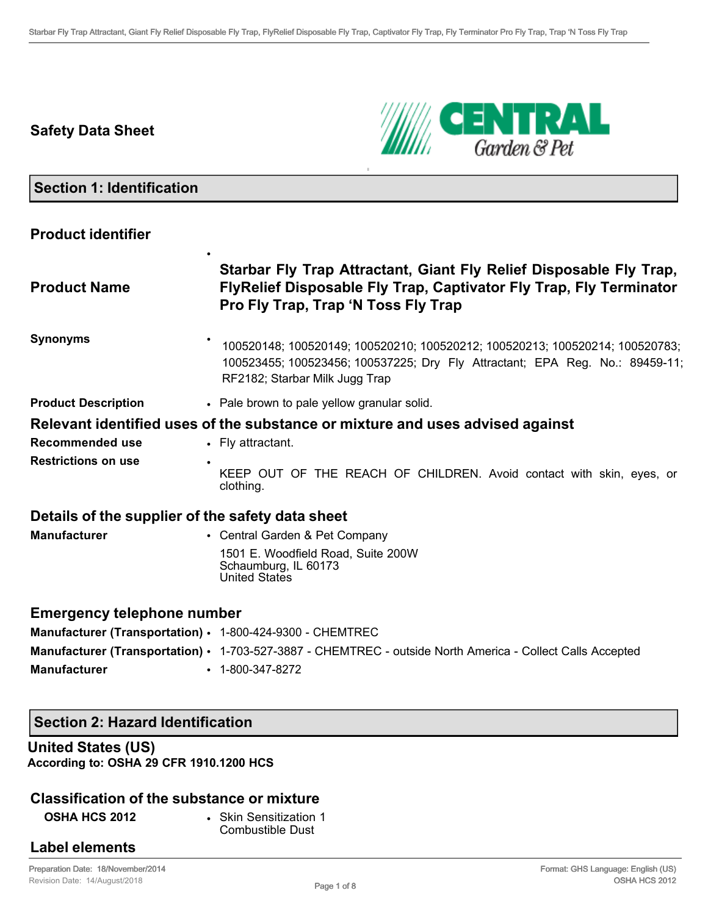# **Safety Data Sheet**



## **Section 1: Identification**

## **Product identifier**

|                                                           | Starbar Fly Trap Attractant, Giant Fly Relief Disposable Fly Trap,                                                                                                                             |
|-----------------------------------------------------------|------------------------------------------------------------------------------------------------------------------------------------------------------------------------------------------------|
| <b>Product Name</b>                                       | FlyRelief Disposable Fly Trap, Captivator Fly Trap, Fly Terminator<br>Pro Fly Trap, Trap 'N Toss Fly Trap                                                                                      |
| <b>Synonyms</b>                                           | 100520148; 100520149; 100520210; 100520212; 100520213; 100520214; 100520783;<br>100523455; 100523456; 100537225; Dry Fly Attractant; EPA Reg. No.: 89459-11;<br>RF2182; Starbar Milk Jugg Trap |
| <b>Product Description</b>                                | • Pale brown to pale yellow granular solid.                                                                                                                                                    |
|                                                           | Relevant identified uses of the substance or mixture and uses advised against                                                                                                                  |
| <b>Recommended use</b>                                    | • Fly attractant.                                                                                                                                                                              |
| <b>Restrictions on use</b>                                | KEEP OUT OF THE REACH OF CHILDREN. Avoid contact with skin, eyes, or<br>clothing.                                                                                                              |
| Details of the supplier of the safety data sheet          |                                                                                                                                                                                                |
| <b>Manufacturer</b>                                       | • Central Garden & Pet Company                                                                                                                                                                 |
|                                                           | 1501 E. Woodfield Road, Suite 200W<br>Schaumburg, IL 60173<br><b>United States</b>                                                                                                             |
| <b>Emergency telephone number</b>                         |                                                                                                                                                                                                |
| Manufacturer (Transportation) · 1-800-424-9300 - CHEMTREC |                                                                                                                                                                                                |
|                                                           | Manufacturer (Transportation) · 1-703-527-3887 - CHEMTREC - outside North America - Collect Calls Accepted                                                                                     |

### **Manufacturer** • 1-800-347-8272

## **Section 2: Hazard Identification**

## **United States (US) According to: OSHA 29 CFR 1910.1200 HCS**

## **Classification of the substance or mixture**

**OSHA HCS 2012** • Skin Sensitization 1 Combustible Dust

## **Label elements**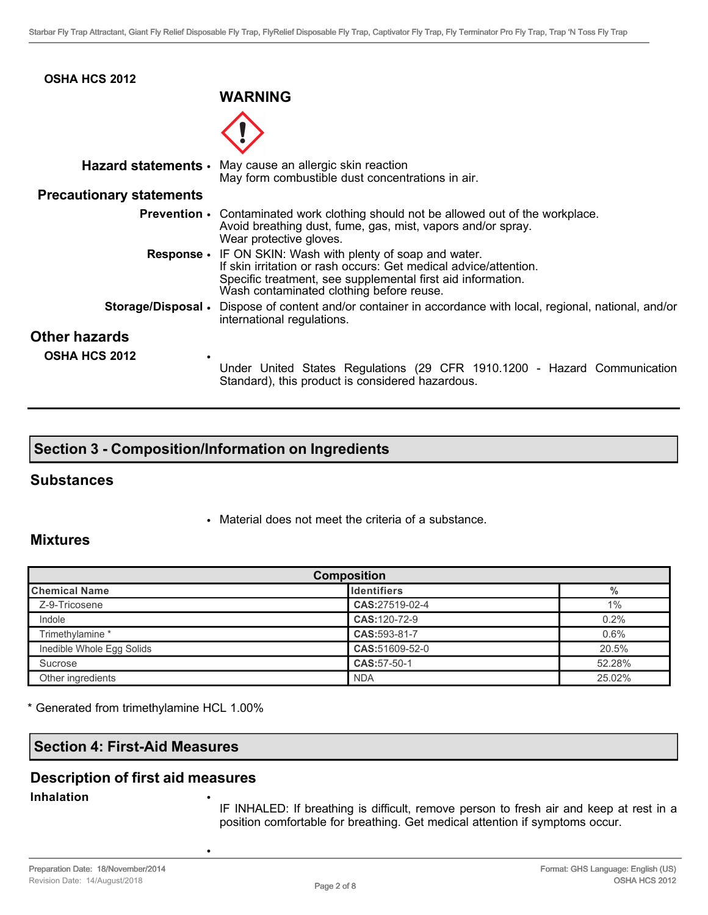| <b>OSHA HCS 2012</b>            | <b>WARNING</b>                                                                                                                                                                                                                            |
|---------------------------------|-------------------------------------------------------------------------------------------------------------------------------------------------------------------------------------------------------------------------------------------|
|                                 |                                                                                                                                                                                                                                           |
|                                 |                                                                                                                                                                                                                                           |
|                                 | Hazard statements • May cause an allergic skin reaction<br>May form combustible dust concentrations in air.                                                                                                                               |
| <b>Precautionary statements</b> |                                                                                                                                                                                                                                           |
|                                 | <b>Prevention</b> • Contaminated work clothing should not be allowed out of the workplace.<br>Avoid breathing dust, fume, gas, mist, vapors and/or spray.<br>Wear protective gloves.                                                      |
|                                 | Response • IF ON SKIN: Wash with plenty of soap and water.<br>If skin irritation or rash occurs: Get medical advice/attention.<br>Specific treatment, see supplemental first aid information.<br>Wash contaminated clothing before reuse. |
|                                 | <b>Storage/Disposal</b> • Dispose of content and/or container in accordance with local, regional, national, and/or<br>international regulations.                                                                                          |
| <b>Other hazards</b>            |                                                                                                                                                                                                                                           |
| <b>OSHA HCS 2012</b>            | Under United States Regulations (29 CFR 1910.1200 - Hazard Communication<br>Standard), this product is considered hazardous.                                                                                                              |

# **Section 3 - Composition/Information on Ingredients**

### **Substances**

• Material does not meet the criteria of a substance.

## **Mixtures**

| <b>Composition</b>        |                    |        |
|---------------------------|--------------------|--------|
| <b>Chemical Name</b>      | <b>Identifiers</b> | $\%$   |
| Z-9-Tricosene             | CAS:27519-02-4     | $1\%$  |
| Indole                    | CAS:120-72-9       | 0.2%   |
| Trimethylamine *          | CAS:593-81-7       | 0.6%   |
| Inedible Whole Egg Solids | CAS:51609-52-0     | 20.5%  |
| Sucrose                   | CAS: 57-50-1       | 52.28% |
| Other ingredients         | <b>NDA</b>         | 25.02% |

\* Generated from trimethylamine HCL 1.00%

## **Section 4: First-Aid Measures**

## **Description of first aid measures**

•

#### **Inhalation** •

IF INHALED: If breathing is difficult, remove person to fresh air and keep at rest in a position comfortable for breathing. Get medical attention if symptoms occur.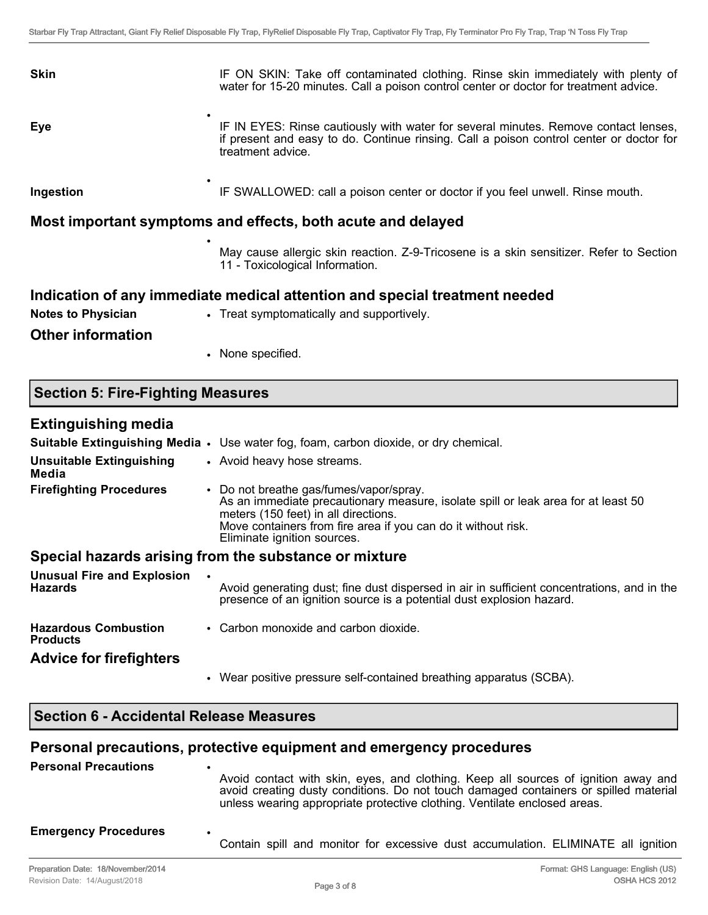| <b>Skin</b>            | IF ON SKIN: Take off contaminated clothing. Rinse skin immediately with plenty of<br>water for 15-20 minutes. Call a poison control center or doctor for treatment advice.                          |
|------------------------|-----------------------------------------------------------------------------------------------------------------------------------------------------------------------------------------------------|
| ٠<br>Eye               | IF IN EYES: Rinse cautiously with water for several minutes. Remove contact lenses,<br>if present and easy to do. Continue rinsing. Call a poison control center or doctor for<br>treatment advice. |
| $\bullet$<br>Ingestion | IF SWALLOWED: call a poison center or doctor if you feel unwell. Rinse mouth.                                                                                                                       |

## **Most important symptoms and effects, both acute and delayed**

•

May cause allergic skin reaction. Z-9-Tricosene is a skin sensitizer. Refer to Section 11 - Toxicological Information.

## **Indication of any immediate medical attention and special treatment needed**

**Notes to Physician** • Treat symptomatically and supportively.

**Other information**

• None specified.

## **Section 5: Fire-Fighting Measures**

### **Extinguishing media**

|                                                     | Suitable Extinguishing Media • Use water fog, foam, carbon dioxide, or dry chemical.                                                                                                                                                                                 |
|-----------------------------------------------------|----------------------------------------------------------------------------------------------------------------------------------------------------------------------------------------------------------------------------------------------------------------------|
| <b>Unsuitable Extinguishing</b><br>Media            | • Avoid heavy hose streams.                                                                                                                                                                                                                                          |
| <b>Firefighting Procedures</b>                      | • Do not breathe gas/fumes/vapor/spray.<br>As an immediate precautionary measure, isolate spill or leak area for at least 50<br>meters (150 feet) in all directions.<br>Move containers from fire area if you can do it without risk.<br>Eliminate ignition sources. |
|                                                     | Special hazards arising from the substance or mixture                                                                                                                                                                                                                |
| <b>Unusual Fire and Explosion</b><br><b>Hazards</b> | Avoid generating dust; fine dust dispersed in air in sufficient concentrations, and in the<br>presence of an ignition source is a potential dust explosion hazard.                                                                                                   |
| <b>Hazardous Combustion</b><br><b>Products</b>      | • Carbon monoxide and carbon dioxide.                                                                                                                                                                                                                                |

## **Advice for firefighters**

• Wear positive pressure self-contained breathing apparatus (SCBA).

## **Section 6 - Accidental Release Measures**

## **Personal precautions, protective equipment and emergency procedures**

| <b>Personal Precautions</b> | $\bullet$<br>Avoid contact with skin, eyes, and clothing. Keep all sources of ignition away and<br>avoid creating dusty conditions. Do not touch damaged containers or spilled material<br>unless wearing appropriate protective clothing. Ventilate enclosed areas. |
|-----------------------------|----------------------------------------------------------------------------------------------------------------------------------------------------------------------------------------------------------------------------------------------------------------------|
| <b>Emergency Procedures</b> | $\bullet$<br>Contain spill and monitor for excessive dust accumulation. ELIMINATE all ignition                                                                                                                                                                       |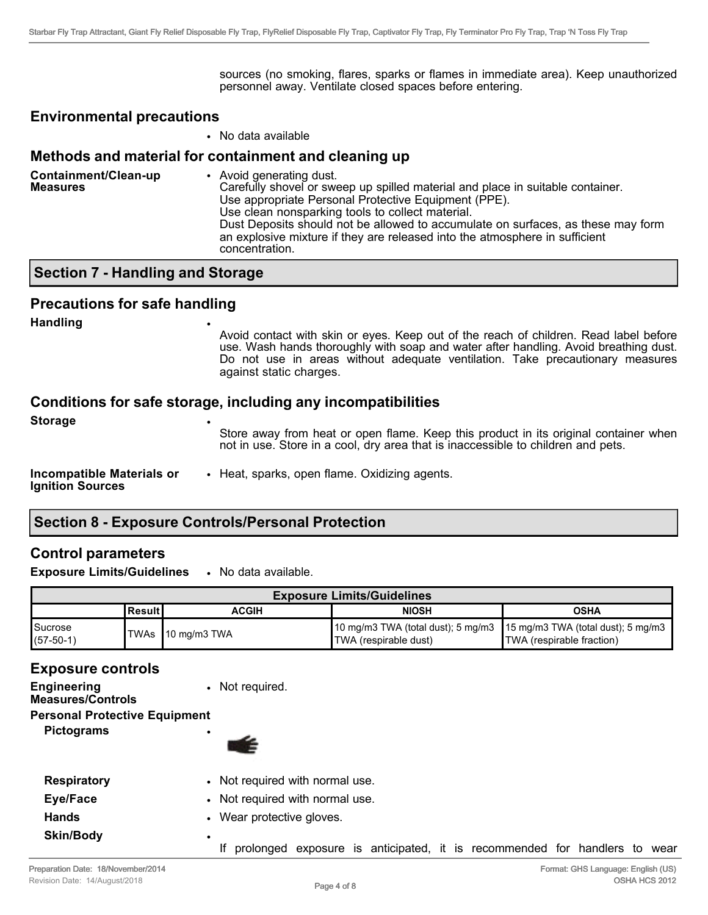sources (no smoking, flares, sparks or flames in immediate area). Keep unauthorized personnel away. Ventilate closed spaces before entering.

#### **Environmental precautions**

• No data available

## **Methods and material for containment and cleaning up**

| Containment/Clean-up<br><b>Measures</b> | • Avoid generating dust.<br>Carefully shovel or sweep up spilled material and place in suitable container.<br>Use appropriate Personal Protective Equipment (PPE).<br>Use clean nonsparking tools to collect material.<br>Dust Deposits should not be allowed to accumulate on surfaces, as these may form<br>an explosive mixture if they are released into the atmosphere in sufficient<br>concentration. |
|-----------------------------------------|-------------------------------------------------------------------------------------------------------------------------------------------------------------------------------------------------------------------------------------------------------------------------------------------------------------------------------------------------------------------------------------------------------------|
|                                         |                                                                                                                                                                                                                                                                                                                                                                                                             |

## **Section 7 - Handling and Storage**

## **Precautions for safe handling**

| <b>Handling</b><br>$\bullet$                                | Avoid contact with skin or eyes. Keep out of the reach of children. Read label before<br>use. Wash hands thoroughly with soap and water after handling. Avoid breathing dust.<br>Do not use in areas without adequate ventilation. Take precautionary measures<br>against static charges. |  |
|-------------------------------------------------------------|-------------------------------------------------------------------------------------------------------------------------------------------------------------------------------------------------------------------------------------------------------------------------------------------|--|
| <b>Storage</b>                                              | Conditions for safe storage, including any incompatibilities<br>Store away from heat or open flame. Keep this product in its original container when<br>not in use. Store in a cool, dry area that is inaccessible to children and pets.                                                  |  |
| <b>Incompatible Materials or</b><br><b>Ignition Sources</b> | • Heat, sparks, open flame. Oxidizing agents.                                                                                                                                                                                                                                             |  |

# **Section 8 - Exposure Controls/Personal Protection**

## **Control parameters**

**Exposure Limits/Guidelines** • No data available.

| <b>Exposure Limits/Guidelines</b> |           |                    |                                                                                                         |                           |
|-----------------------------------|-----------|--------------------|---------------------------------------------------------------------------------------------------------|---------------------------|
|                                   | lResult I | <b>ACGIH</b>       | <b>NIOSH</b>                                                                                            | OSHA                      |
| Sucrose<br>$(57-50-1)$            |           | ITWAs 10 mg/m3 TWA | 10 mg/m3 TWA (total dust); 5 mg/m3   15 mg/m3 TWA (total dust); 5 mg/m3<br><b>TWA</b> (respirable dust) | TWA (respirable fraction) |

### **Exposure controls**

| <b>Engineering</b><br><b>Measures/Controls</b> | • Not required.    |
|------------------------------------------------|--------------------|
| <b>Personal Protective Equipment</b>           |                    |
| <b>Pictograms</b>                              |                    |
| <b>Respiratory</b>                             | • Not required wit |

- th normal use.
- **Eye/Face** Not required with normal use.
- **Hands** Wear protective gloves.

If prolonged exposure is anticipated, it is recommended for handlers to wear

**Skin/Body** •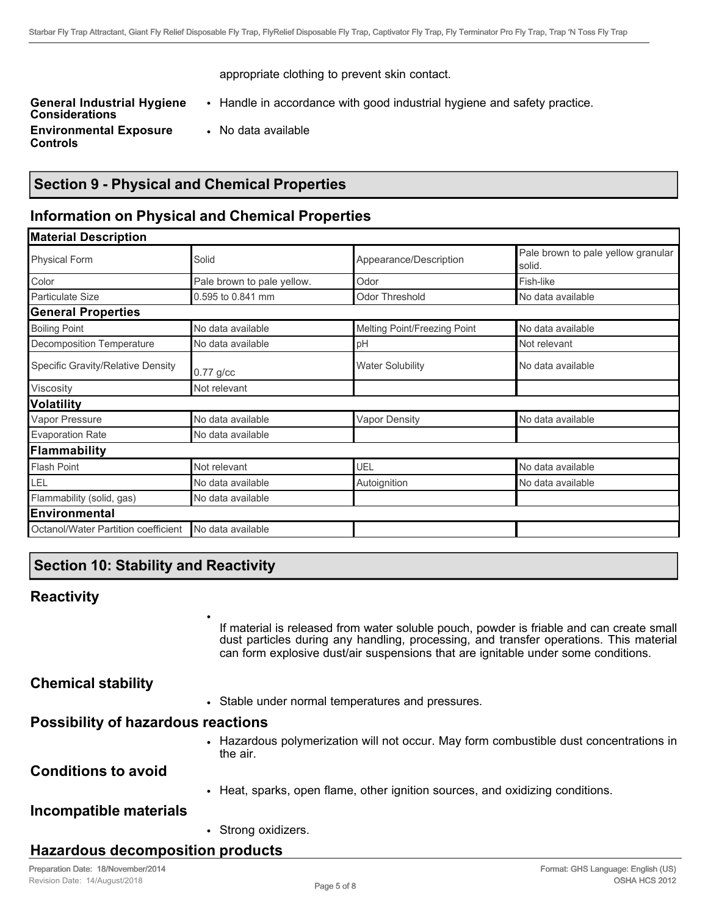appropriate clothing to prevent skin contact.

**General Industrial Hygiene Considerations Environmental Exposure Controls**

- Handle in accordance with good industrial hygiene and safety practice.
- No data available

## **Section 9 - Physical and Chemical Properties**

## **Information on Physical and Chemical Properties**

| <b>Material Description</b>         |                            |                              |                                              |
|-------------------------------------|----------------------------|------------------------------|----------------------------------------------|
| <b>Physical Form</b>                | Solid                      | Appearance/Description       | Pale brown to pale yellow granular<br>solid. |
| Color                               | Pale brown to pale yellow. | Odor                         | Fish-like                                    |
| <b>Particulate Size</b>             | 0.595 to 0.841 mm          | <b>Odor Threshold</b>        | No data available                            |
| <b>General Properties</b>           |                            |                              |                                              |
| <b>Boiling Point</b>                | No data available          | Melting Point/Freezing Point | No data available                            |
| <b>Decomposition Temperature</b>    | No data available          | pH                           | Not relevant                                 |
| Specific Gravity/Relative Density   | $0.77$ g/cc                | <b>Water Solubility</b>      | No data available                            |
| Viscosity                           | Not relevant               |                              |                                              |
| <b>Volatility</b>                   |                            |                              |                                              |
| Vapor Pressure                      | No data available          | <b>Vapor Density</b>         | No data available                            |
| <b>Evaporation Rate</b>             | No data available          |                              |                                              |
| Flammability                        |                            |                              |                                              |
| <b>Flash Point</b>                  | Not relevant               | UEL                          | No data available                            |
| LEL                                 | No data available          | Autoignition                 | No data available                            |
| Flammability (solid, gas)           | No data available          |                              |                                              |
| Environmental                       |                            |                              |                                              |
| Octanol/Water Partition coefficient | No data available          |                              |                                              |

## **Section 10: Stability and Reactivity**

•

## **Reactivity**

If material is released from water soluble pouch, powder is friable and can create small dust particles during any handling, processing, and transfer operations. This material can form explosive dust/air suspensions that are ignitable under some conditions.

### **Chemical stability**

• Stable under normal temperatures and pressures.

#### **Possibility of hazardous reactions**

• Hazardous polymerization will not occur. May form combustible dust concentrations in the air.

### **Conditions to avoid**

• Heat, sparks, open flame, other ignition sources, and oxidizing conditions.

### **Incompatible materials**

• Strong oxidizers.

## **Hazardous decomposition products**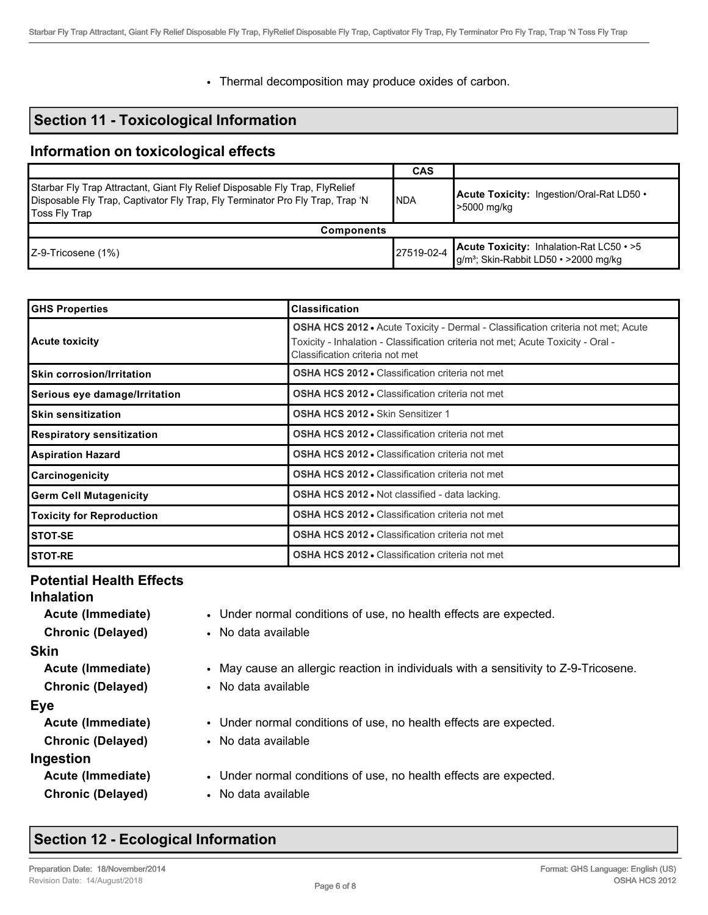• Thermal decomposition may produce oxides of carbon.

## **Section 11 - Toxicological Information**

## **Information on toxicological effects**

|                                                                                                                                                                                         | <b>CAS</b> |                                                                                                         |  |  |
|-----------------------------------------------------------------------------------------------------------------------------------------------------------------------------------------|------------|---------------------------------------------------------------------------------------------------------|--|--|
| Starbar Fly Trap Attractant, Giant Fly Relief Disposable Fly Trap, FlyRelief<br>Disposable Fly Trap, Captivator Fly Trap, Fly Terminator Pro Fly Trap, Trap 'N<br>INDA<br>Toss Fly Trap |            | Acute Toxicity: Ingestion/Oral-Rat LD50 .<br>-5000 mg/kg                                                |  |  |
| <b>Components</b>                                                                                                                                                                       |            |                                                                                                         |  |  |
| $ Z-9$ -Tricosene (1%)                                                                                                                                                                  | 27519-02-4 | <b>Acute Toxicity: Inhalation-Rat LC50 · &gt;5</b><br>g/m <sup>3</sup> ; Skin-Rabbit LD50 · >2000 mg/kg |  |  |

| <b>GHS Properties</b>            | <b>Classification</b>                                                                                                                                                                                          |
|----------------------------------|----------------------------------------------------------------------------------------------------------------------------------------------------------------------------------------------------------------|
| <b>Acute toxicity</b>            | <b>OSHA HCS 2012 •</b> Acute Toxicity - Dermal - Classification criteria not met; Acute<br>Toxicity - Inhalation - Classification criteria not met; Acute Toxicity - Oral -<br>Classification criteria not met |
| <b>Skin corrosion/Irritation</b> | <b>OSHA HCS 2012 • Classification criteria not met</b>                                                                                                                                                         |
| Serious eye damage/Irritation    | <b>OSHA HCS 2012 • Classification criteria not met</b>                                                                                                                                                         |
| <b>Skin sensitization</b>        | OSHA HCS 2012 . Skin Sensitizer 1                                                                                                                                                                              |
| <b>Respiratory sensitization</b> | <b>OSHA HCS 2012 • Classification criteria not met</b>                                                                                                                                                         |
| <b>Aspiration Hazard</b>         | <b>OSHA HCS 2012 • Classification criteria not met</b>                                                                                                                                                         |
| Carcinogenicity                  | <b>OSHA HCS 2012 • Classification criteria not met</b>                                                                                                                                                         |
| <b>Germ Cell Mutagenicity</b>    | OSHA HCS 2012 . Not classified - data lacking.                                                                                                                                                                 |
| <b>Toxicity for Reproduction</b> | <b>OSHA HCS 2012 • Classification criteria not met</b>                                                                                                                                                         |
| STOT-SE                          | <b>OSHA HCS 2012 • Classification criteria not met</b>                                                                                                                                                         |
| <b>STOT-RE</b>                   | <b>OSHA HCS 2012 • Classification criteria not met</b>                                                                                                                                                         |

#### **Potential Health Effects Inhalation**

#### **Skin**

**Chronic (Delayed)** • No data available

#### **Eye**

- 
- 

**Ingestion**

- **Acute (Immediate)** Under normal conditions of use, no health effects are expected.
- **Chronic (Delayed)** No data available
- **Acute (Immediate)** May cause an allergic reaction in individuals with a sensitivity to Z-9-Tricosene.
	-
- **Acute (Immediate)** Under normal conditions of use, no health effects are expected.
- **Chronic (Delayed)** No data available
- **Acute (Immediate)** Under normal conditions of use, no health effects are expected.
- **Chronic (Delayed)** No data available

# **Section 12 - Ecological Information**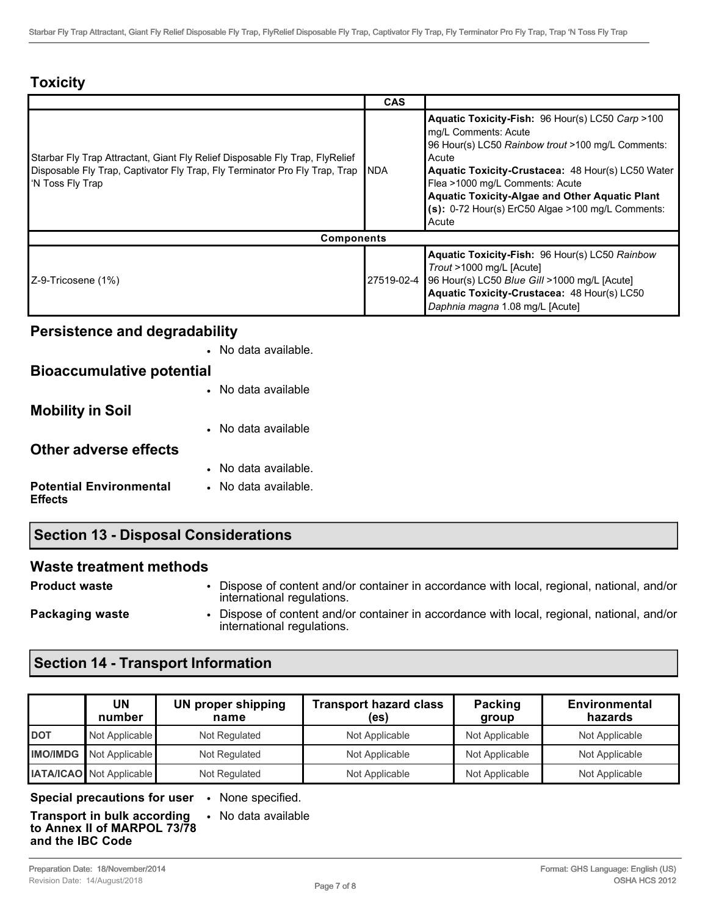# **Toxicity**

|                                                                                                                                                                                  | <b>CAS</b> |                                                                                                                                                                                                                                                                                                                                                                 |
|----------------------------------------------------------------------------------------------------------------------------------------------------------------------------------|------------|-----------------------------------------------------------------------------------------------------------------------------------------------------------------------------------------------------------------------------------------------------------------------------------------------------------------------------------------------------------------|
| Starbar Fly Trap Attractant, Giant Fly Relief Disposable Fly Trap, FlyRelief<br>Disposable Fly Trap, Captivator Fly Trap, Fly Terminator Pro Fly Trap, Trap<br>I'N Toss Fly Trap | INDA       | Aquatic Toxicity-Fish: 96 Hour(s) LC50 Carp >100<br>mq/L Comments: Acute<br>96 Hour(s) LC50 Rainbow trout >100 mg/L Comments:<br>Acute<br><b>Aquatic Toxicity-Crustacea: 48 Hour(s) LC50 Water</b><br>Flea >1000 mg/L Comments: Acute<br><b>Aquatic Toxicity-Algae and Other Aquatic Plant</b><br>$(s)$ : 0-72 Hour(s) ErC50 Algae >100 mg/L Comments:<br>Acute |
| <b>Components</b>                                                                                                                                                                |            |                                                                                                                                                                                                                                                                                                                                                                 |
| Z-9-Tricosene (1%)                                                                                                                                                               | 27519-02-4 | <b>Aquatic Toxicity-Fish: 96 Hour(s) LC50 Rainbow</b><br>Trout >1000 mg/L [Acute]<br> 96 Hour(s) LC50 Blue Gill >1000 mg/L [Acute]<br>Aquatic Toxicity-Crustacea: 48 Hour(s) LC50<br>Daphnia magna 1.08 mg/L [Acute]                                                                                                                                            |

# **Persistence and degradability**

|                                                  | No data available.   |
|--------------------------------------------------|----------------------|
| <b>Bioaccumulative potential</b>                 |                      |
|                                                  | No data available    |
| <b>Mobility in Soil</b>                          |                      |
|                                                  | No data available    |
| Other adverse effects                            |                      |
|                                                  | No data available.   |
| <b>Potential Environmental</b><br><b>Effects</b> | • No data available. |

# **Section 13 - Disposal Considerations**

### **Waste treatment methods**

**Product waste** • Dispose of content and/or container in accordance with local, regional, national, and/or international regulations.

**Packaging waste • Dispose of content and/or container in accordance with local, regional, national, and/or** international regulations.

# **Section 14 - Transport Information**

|                 | UN<br>number                    | <b>UN proper shipping</b><br>name | <b>Transport hazard class</b><br>(es) | Packing<br>group | <b>Environmental</b><br>hazards |
|-----------------|---------------------------------|-----------------------------------|---------------------------------------|------------------|---------------------------------|
| <b>DOT</b>      | Not Applicable                  | Not Regulated                     | Not Applicable                        | Not Applicable   | Not Applicable                  |
| <b>IMO/IMDG</b> | Not Applicable                  | Not Regulated                     | Not Applicable                        | Not Applicable   | Not Applicable                  |
|                 | <b>IATA/ICAO</b> Not Applicable | Not Regulated                     | Not Applicable                        | Not Applicable   | Not Applicable                  |

**Special precautions for user** • None specified.

• No data available

**Transport in bulk according to Annex II of MARPOL 73/78 and the IBC Code**